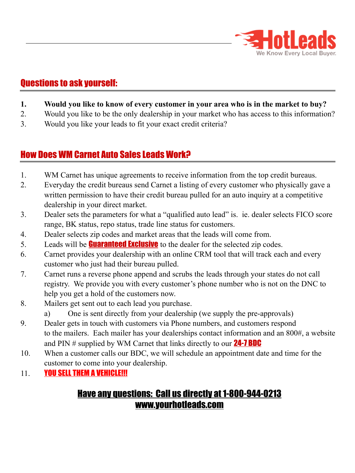

## Questions to ask yourself:

- **1. Would you like to know of every customer in your area who is in the market to buy?**
- 2. Would you like to be the only dealership in your market who has access to this information?
- 3. Would you like your leads to fit your exact credit criteria?

## How Does WM Carnet Auto Sales Leads Work?

- 1. WM Carnet has unique agreements to receive information from the top credit bureaus.
- 2. Everyday the credit bureaus send Carnet a listing of every customer who physically gave a written permission to have their credit bureau pulled for an auto inquiry at a competitive dealership in your direct market.
- 3. Dealer sets the parameters for what a "qualified auto lead" is. ie. dealer selects FICO score range, BK status, repo status, trade line status for customers.
- 4. Dealer selects zip codes and market areas that the leads will come from.
- 5. Leads will be **Guaranteed Exclusive** to the dealer for the selected zip codes.
- 6. Carnet provides your dealership with an online CRM tool that will track each and every customer who just had their bureau pulled.
- 7. Carnet runs a reverse phone append and scrubs the leads through your states do not call registry. We provide you with every customer's phone number who is not on the DNC to help you get a hold of the customers now.
- 8. Mailers get sent out to each lead you purchase.
	- a) One is sent directly from your dealership (we supply the pre-approvals)
- 9. Dealer gets in touch with customers via Phone numbers, and customers respond to the mailers. Each mailer has your dealerships contact information and an 800#, a website and PIN  $#$  supplied by WM Carnet that links directly to our **24-7 BDC**
- 10. When a customer calls our BDC, we will schedule an appointment date and time for the customer to come into your dealership.
- 11. **YOU SELL THEM A VEHICLE!!!**

## Have any questions: Call us directly at 1-800-944-0213 www.yourhotleads.com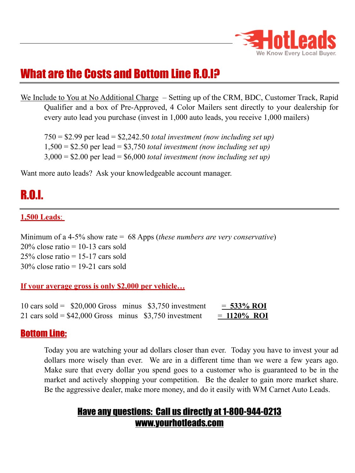

## What are the Costs and Bottom Line R.O.I?

We Include to You at No Additional Charge – Setting up of the CRM, BDC, Customer Track, Rapid Qualifier and a box of Pre-Approved, 4 Color Mailers sent directly to your dealership for every auto lead you purchase (invest in 1,000 auto leads, you receive 1,000 mailers)

750 = \$2.99 per lead = \$2,242.50 *total investment (now including set up)* 1,500 = \$2.50 per lead = \$3,750 *total investment (now including set up)* 3,000 = \$2.00 per lead = \$6,000 *total investment (now including set up)*

Want more auto leads? Ask your knowledgeable account manager.

# R.O.I.

#### **1,500 Leads**:

Minimum of a 4-5% show rate = 68 Apps (*these numbers are very conservative*)  $20\%$  close ratio = 10-13 cars sold  $25\%$  close ratio = 15-17 cars sold  $30\%$  close ratio = 19-21 cars sold

#### **If your average gross is only \$2,000 per vehicle…**

10 cars sold =  $$20,000$  Gross minus  $$3,750$  investment =  $\frac{533\%}{801}$ 21 cars sold =  $$42,000$  Gross minus  $$3,750$  investment =  $1120\%$  ROI

#### Bottom Line:

Today you are watching your ad dollars closer than ever. Today you have to invest your ad dollars more wisely than ever. We are in a different time than we were a few years ago. Make sure that every dollar you spend goes to a customer who is guaranteed to be in the market and actively shopping your competition. Be the dealer to gain more market share. Be the aggressive dealer, make more money, and do it easily with WM Carnet Auto Leads.

## Have any questions: Call us directly at 1-800-944-0213 www.yourhotleads.com